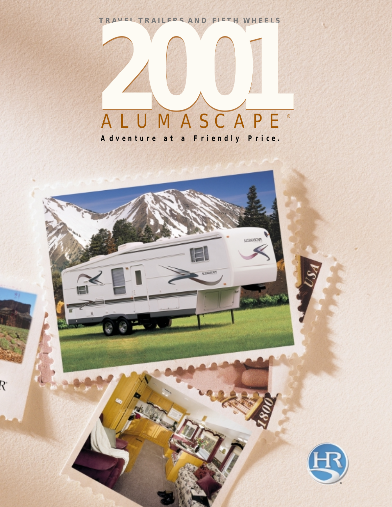**TRAVEL TRAILERS AND FIFTH WHEELS**



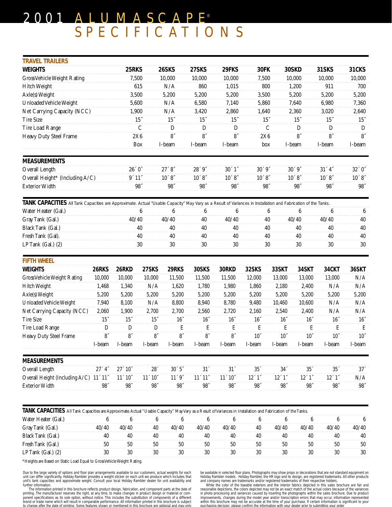# 2001 ALUMASCAPE® SPECIFICATIONS

| <b>TRAVEL TRAILERS</b>                                                                                                                                        |                      |                 |                      |                      |                 |                    |                  |                 |                  |                 |                  |
|---------------------------------------------------------------------------------------------------------------------------------------------------------------|----------------------|-----------------|----------------------|----------------------|-----------------|--------------------|------------------|-----------------|------------------|-----------------|------------------|
| <b>WEIGHTS</b>                                                                                                                                                |                      | 25RKS           |                      | 26SKS                | 27SKS           | 29FKS              | 30FK             |                 | 30SKD            | 31SKS           | 31CKS            |
| Gross Vehicle Weight Rating                                                                                                                                   |                      |                 | 7,500                | 10,000               | 10,000          | 10,000             | 7,500            |                 | 10,000           | 10,000          | 10,000           |
| Hitch Weight                                                                                                                                                  |                      |                 | 615                  | N/A                  | 860             | 1,015              | 800              |                 | 1,200            | 911             | 700              |
| Axle(s) Weight<br>Unloaded Vehicle Weight                                                                                                                     |                      |                 | 3,500                | 5,200                | 5,200<br>6,580  | 5,200<br>7,140     | 3,500<br>5,860   |                 | 5,200            | 5,200<br>6,980  | 5,200            |
|                                                                                                                                                               |                      |                 | 5,600                | N/A                  |                 |                    |                  |                 | 7,640            |                 | 7,360            |
| Net Carrying Capacity (NCC)                                                                                                                                   |                      |                 | 1,900                | N/A                  | 3,420           | 2,860              | 1,640            |                 | 2,360            | 3,020           | 2,640            |
| Tire Size                                                                                                                                                     |                      |                 | $15$                 | $15$                 | $15$            | $15$ $\,$          | $15$ "           |                 | $15$ $\,$        | $15$            | $15$ "           |
| Tire Load Range                                                                                                                                               |                      |                 | $\cal C$             | D                    | D               | $\mathbf D$        |                  | $\mathsf C$     | $\mathbf D$      | D               | D                |
| Heavy Duty Steel Frame                                                                                                                                        |                      |                 | 2X6                  | $8^{\prime\prime}$   | $8^{\circ}$     | $8^{\circ}$        | 2X6              |                 | 8 <sup>''</sup>  | 8 <sup>th</sup> | 8 <sup>''</sup>  |
|                                                                                                                                                               |                      |                 | Box                  | I-beam               | I-beam          | I-beam             | box              |                 | I-beam           | I-beam          | I-beam           |
| <b>MEASUREMENTS</b>                                                                                                                                           |                      |                 |                      |                      |                 |                    |                  |                 |                  |                 |                  |
| Overall Length                                                                                                                                                |                      | 26'0''          |                      | 27'8'                | 28'9''          | 30'1''             | 30'9''           |                 | $30'$ $9''$      | $31'$ $4''$     | $32'$ $0"$       |
| Overall Height* (Including A/C)                                                                                                                               |                      | 9' 11''         |                      | 10'8''               | 10'8''          | 10'8''             | 10'8''           |                 | 10'8''           | 10'8''          | 10'8''           |
| <b>Exterior Width</b>                                                                                                                                         |                      |                 | $98^\circ$           | $98^\circ$           | $98^{\circ}$    | $98^{\circ}$       | $98^\circ$       |                 | $98^\circ$       | $98^{\circ}$    | $98^\circ$       |
| TANK CAPACITIES All Tank Capacities are Approximate. Actual "Usable Capacity" May Vary as a Result of Variances in Installation and Fabrication of the Tanks. |                      |                 |                      |                      |                 |                    |                  |                 |                  |                 |                  |
| Water Heater (Gal.)                                                                                                                                           |                      |                 | 6                    | 6                    | 6               | 6                  |                  | 6               | 6                | 6               | $\boldsymbol{6}$ |
| Gray Tank (Gal.)                                                                                                                                              |                      | 40/40           |                      | 40/40                | 40              | 40/40              |                  | 40              | 40/40            | 40/40           | 40               |
| Black Tank (Gal.)                                                                                                                                             |                      |                 | 40                   | 40                   | 40              | 40                 |                  | 40              | 40               | 40              | $40\,$           |
| Fresh Tank (Gal).                                                                                                                                             |                      | 40              |                      | 40                   | 40              | 40                 |                  | 40              | 40               | 40              | 40               |
| LP Tank (Gal.) (2)                                                                                                                                            |                      |                 | 30                   | 30                   | 30              | 30                 |                  | 30              | 30               | 30              | 30               |
| <b>FIFTH WHEEL</b>                                                                                                                                            |                      |                 |                      |                      |                 |                    |                  |                 |                  |                 |                  |
| <b>WEIGHTS</b>                                                                                                                                                | 26RKS                | 26RKD           | 27SKS                | 29RKS                | 30SKS           | 30RKD              | 32SKS            | 33SKT           | 34SKT            | 34CKT           | 36SKT            |
| Gross Vehicle Weight Rating                                                                                                                                   | 10,000               | 10,000          | 10,000               | 11,500               | 11,500          | 11,500             | 12,000           | 13,000          | 13,000           | 13,000          | N/A              |
| Hitch Weight                                                                                                                                                  | 1,468                | 1,340           | N/A                  | 1,620                | 1,780           | 1,980              | 1,860            | 2,180           | 2,400            | N/A             | N/A              |
| Axle(s) Weight                                                                                                                                                | 5,200                | 5,200           | 5,200                | 5,200                | 5,200           | 5,200              | 5,200            | 5,200           | 5,200            | 5,200           | 5,200            |
| Unloaded Vehicle Weight                                                                                                                                       | 7,940                | 8,100           | N/A                  | 8,800                | 8,940           | 8,780              | 9,480            | 10,460          | 10,600           | N/A             | N/A              |
| Net Carrying Capacity (NCC)                                                                                                                                   | 2,060                | 1,900           | 2,700                | 2,700                | 2,560           | 2,720              | 2,160            | 2,540           | 2,400            | N/A             | N/A              |
| Tire Size                                                                                                                                                     | $15$                 | $15$ "          | $15$ $\,$            | $16$ "               | $16$            | $16$ "             | $16$             | $16^{\circ}$    | $16$ "           | $16^\circ$      | $16''$           |
| Tire Load Range                                                                                                                                               | D                    | $\mathbf D$     | D                    | E                    | E               | $\mathbf E$        | E                | Ε               | E                | E               | E                |
| Heavy Duty Steel Frame                                                                                                                                        | 8 <sup>''</sup>      | 8 <sup>th</sup> | 8 <sup>''</sup>      | 8 <sup>''</sup>      | 8 <sup>''</sup> | $8^{\prime\prime}$ | $10^{\circ}$     | $10^{\circ}$    | 10 <sup>th</sup> | $10^{\circ}$    | $10^{\circ}$     |
|                                                                                                                                                               | I-beam               | I-beam          | I-beam               | I-beam               | I-beam          | I-beam             | I-beam           | I-beam          | I-beam           | I-beam          | I-beam           |
| <b>MEASUREMENTS</b>                                                                                                                                           |                      |                 |                      |                      |                 |                    |                  |                 |                  |                 |                  |
| Overall Length                                                                                                                                                | $27^\circ$ $4^\circ$ | 27' 10''        | $28'$                | $30^\circ$ $5^\circ$ | 31'             | $31^{\circ}$       | $35^\circ$       | 34 <sup>′</sup> | $35^{\prime}$    | $35\,^\circ$    | 37'              |
| Overall Height (Including A/C) 11' 11"                                                                                                                        |                      | 11' 10'         | $11^\circ\,10^\circ$ | 11'9''               | 11' 11'         | 11' 10'            | 12'1''           | 12'1''          | 12'1''           | $12'$ $1''$     | N/A              |
| <b>Exterior Width</b>                                                                                                                                         | $98^\circ$           | $98^\circ$      | $98^\circ$           | $98^{\circ}$         | $98^\circ$      | $98^\circ$         | $98^{\circ}$     | $98^\circ$      | $98^\circ$       | $98^{\circ}$    | $98^\circ$       |
|                                                                                                                                                               |                      |                 |                      |                      |                 |                    |                  |                 |                  |                 |                  |
| TANK CAPACITIES All Tank Capacities are Approximate. Actual "Usable Capacity" May Vary as a Result of Variances in Installation and Fabrication of the Tanks. |                      |                 |                      |                      |                 |                    |                  |                 |                  |                 |                  |
| Water Heater (Gal.)                                                                                                                                           | 6                    | 6               | 6                    | 6                    | 6               | 6                  | $\boldsymbol{6}$ | 6               | 6                | 6               | 6                |
| Gray Tank (Gal.)                                                                                                                                              | 40/40                | 40/40           | 40                   | 40/40                | 40/40           | 40/40              | 40               | 40/40           | 40/40            | 40/40           | 40/40            |
| Black Tank (Gal.)                                                                                                                                             | 40                   | 40              | 40                   | 40                   | 40              | 40                 | 40               | 40              | 40               | 40              | 40               |
| Fresh Tank (Gal.)                                                                                                                                             | $50\,$               | 50              | $50\,$               | 50                   | $50\,$          | $50\,$             | $50\,$           | $50\,$          | 50               | $50\,$          | $50\,$           |
| LP Tank (Gal.) (2)                                                                                                                                            | $30\,$               | $30\,$          | $30\,$               | $30\,$               | $30\,$          | $30\,$             | $30\,$           | $30\,$          | $30\,$           | $30\,$          | $30\,$           |

\*Heights are Based on Static Load Equal to Gross Vehicle Weight Rating.

Due to the large variety of options and floor plan arrangements available to our customers, actual weights for each<br>unit can differ significantly. Holiday Rambler provides a weight sticker on each unit we produce which inc unit's tank capacities and approximate weight. Consult your local Holiday Rambler dealer for unit availability and further information.

The information printed in this brochure reflects product design, fabrication, and component parts at the date of<br>printing. The manufacturer reserves the right, at any time, to make changes in product design or material or to change after the date of printing Some features shown or mentioned in this brochure are optional and may only

be available in selected floor plans. Photographs may show props or decorations that are not standard equipment on<br>Holiday Rambler models. Holiday Rambler, the HR logo and its design, are registered trademarks. All other p

and company names are trademarks and/or registered trademarks of their respective holders. While the color of the towable exteriors and the interior fabrics depicted in this sales brochure are fair and reasonable depictions, the colors depicted may not be an exact match of the actual colors because of the variances<br>In photo-processing and variances caused by inserting the photographs within the sales brochure. Due to pro purchasing decision please confirm the information with your dealer prior to submitting your order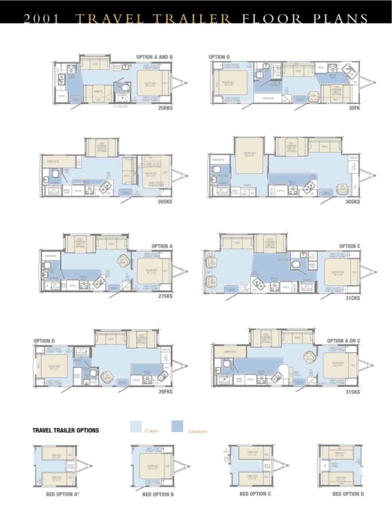

















# **TRAVEL TRAILER OPTIONS**



出店 0.60% 803 **BED OPTION B** 

Carpet

Linoleum





**BED OPTION D**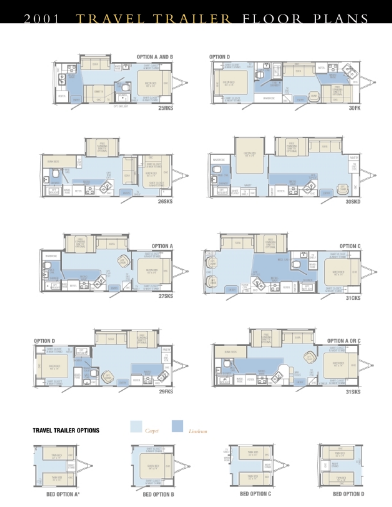





















WW.

**BED OPTION A\*** 



행동분

**BED OPTION B** 















**BED OPTION D** 

**BED OPTION C**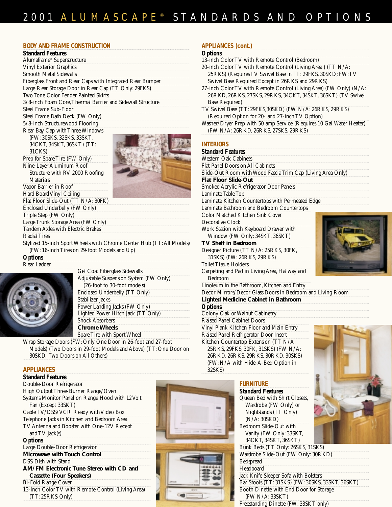#### **BODY AND FRAME CONSTRUCTION**

| <b>Standard Features</b>                                              | C                        |  |  |  |
|-----------------------------------------------------------------------|--------------------------|--|--|--|
| Alumaframe <sup>®</sup> Superstructure                                | 1:                       |  |  |  |
| <b>Vinyl Exterior Graphics</b>                                        |                          |  |  |  |
| Smooth Metal Sidewalls                                                |                          |  |  |  |
| Fiberglass Front and Rear Caps with Integrated Rear Bumper            |                          |  |  |  |
| Large Rear Storage Door in Rear Cap (TT Only: 29FKS)                  | $\overline{2}$           |  |  |  |
| Two Tone Color Fender Painted Skirts                                  |                          |  |  |  |
| 3/8-inch Foam Core, Thermal Barrier and Sidewall Structure            |                          |  |  |  |
| Steel Frame Sub-Floor                                                 | T                        |  |  |  |
| Steel Frame Bath Deck (FW Only)                                       |                          |  |  |  |
| 5/8-inch Structurewood Flooring                                       | Ŵ                        |  |  |  |
| Rear Bay Cap with Three Windows                                       |                          |  |  |  |
| (FW: 30SKS, 32SKS, 33SKT,                                             |                          |  |  |  |
| 34CKT, 34SKT, 36SKT) (TT:                                             | IN                       |  |  |  |
| 31 CKS)                                                               | $\overline{\mathcal{S}}$ |  |  |  |
| Prep for Spare Tire (FW Only)                                         | W                        |  |  |  |
| Nine-Layer Aluminum Roof                                              | F                        |  |  |  |
| Structure with RV 2000 Roofing                                        | Sİ                       |  |  |  |
| <b>Materials</b>                                                      | $\mathbf{F}$             |  |  |  |
| Vapor Barrier in Roof                                                 | Sı                       |  |  |  |
| Hard Board Vinyl Ceiling                                              | L                        |  |  |  |
| Flat Floor Slide-Out (TT N/A: 30FK)                                   | L                        |  |  |  |
| Enclosed Underbelly (FW Only)                                         | L:<br>C                  |  |  |  |
| Triple Step (FW Only)                                                 |                          |  |  |  |
| Large Trunk Storage Area (FW Only)                                    | $\overline{D}$           |  |  |  |
| Tandem Axles with Electric Brakes                                     | Ŵ                        |  |  |  |
| <b>Radial Tires</b>                                                   |                          |  |  |  |
| Stylized 15-inch Sport Wheels with Chrome Center Hub (TT: All Models) | T                        |  |  |  |
| (FW: 16-inch Tires on 29-foot Models and Up)                          | D                        |  |  |  |
| <b>Options</b>                                                        |                          |  |  |  |

Rear Ladder



| Gel Coat Fiberglass Sidewalls          |  |
|----------------------------------------|--|
| Adjustable Suspension System (FW Only) |  |
| (26-foot to 30-foot models)            |  |
| Enclosed Underbelly (TT Only)          |  |
| Stabilizer Jacks                       |  |
| Power Landing Jacks (FW Only)          |  |
| Lighted Power Hitch Jack (TT Only)     |  |
| <b>Shock Absorbers</b>                 |  |
| <b>Chrome Wheels</b>                   |  |
| Spare Tire with Sport Wheel            |  |

Wrap Storage Doors (FW: Only One Door in 26-foot and 27-foot Models) (Two Doors in 29-foot Models and Above) (TT: One Door on 30SKD, Two Doors on All Others)

#### **APPLIANCES**

| <b>Standard Features</b>                           |
|----------------------------------------------------|
| Double-Door Refrigerator                           |
| High Output Three-Burner Range/Oven                |
| Systems Monitor Panel on Range Hood with 12 Volt   |
| Fan (Except 33SKT)                                 |
| Cable TV/DSS/VCR Ready with Video Box              |
| Telephone Jacks in Kitchen and Bedroom Area        |
| TV Antenna and Booster with One-12V Recept         |
| and $TV$ Jack $(s)$                                |
| <b>Options</b>                                     |
| Large Double-Door Refrigerator                     |
| <b>Microwave with Touch Control</b>                |
| <b>DSS Dish with Stand</b>                         |
| AM/FM Electronic Tune Stereo with CD and           |
| <b>Cassette (Four Speakers)</b>                    |
| <b>Bi-Fold Range Cover</b>                         |
| 13-inch Color TV with Remote Control (Living Area) |

13-inch Color TV with Remote Control (Living Area) (TT: 25RKS Only)

# **INTERIORS** *Standard Features*

esigner Picture (TT N/A: 25RKS, 30FK, 31SKS) (FW: 26RKS, 29RKS)

Toilet Tissue Holders

Carpeting and Pad in Living Area, Hallway and Bedroom

Linoleum in the Bathroom, Kitchen and Entry

Decor Mirrors/Decor Glass Doors in Bedroom and Living Room **Lighted Medicine Cabinet in Bathroom**

#### *Options*

Colony Oak or Walnut Cabinetry Raised Panel Cabinet Doors Vinyl Plank Kitchen Floor and Main Entry Raised Panel Refrigerator Door Insert Kitchen Countertop Extension (TT N/A: 25RKS, 29FKS, 30FK, 31SKS) (FW N/A: 26RKD, 26RKS, 29RKS, 30RKD, 30SKS) (FW: N/A with Hide-A-Bed Option in 32SKS)

# **FURNITURE**

*Standard Features* Queen Bed with Shirt Closets, Wardrobe (FW Only) or Nightstands (TT Only) (N/A: 30SKD) Bedroom Slide-Out with Vanity (FW Only: 33SKT, 34CKT, 34SKT, 36SKT) Bunk Beds (TT Only: 26SKS, 31SKS) Wardrobe Slide-Out (FW Only: 30RKD) **Bedspread** 









# **APPLIANCES (cont.)**

#### *Options* 13-inch Color TV with Remote Control (Bedroom)

| 25RKS) (Requires TV Swivel Base in TT: 29FKS, 30SKD; FW:TV            |
|-----------------------------------------------------------------------|
|                                                                       |
| 27-inch Color TV with Remote Control (Living Area) (FW Only) (N/A:    |
| 26RKD, 26RKS, 27SKS, 29RKS, 34CKT, 34SKT, 36SKT) (TV Swivel           |
|                                                                       |
|                                                                       |
|                                                                       |
| Washer/Dryer Prep with 50 amp Service (Requires 10 Gal. Water Heater) |
|                                                                       |
|                                                                       |

#### Western Oak Cabinets lat Panel Doors on All Cabinets lide-Out Room with Wood Fascia Trim Cap (Living Area Only) **Flat Floor Slide-Out** moked Acrylic Refrigerator Door Panels aminate Table Top aminate Kitchen Countertops with Permeated Edge aminate Bathroom and Bedroom Countertops **Color Matched Kitchen Sink Cover** ecorative Clock Work Station with Keyboard Drawer with Window (FW Only: 34SKT, 36SKT) **TV Shelf in Bedroom**